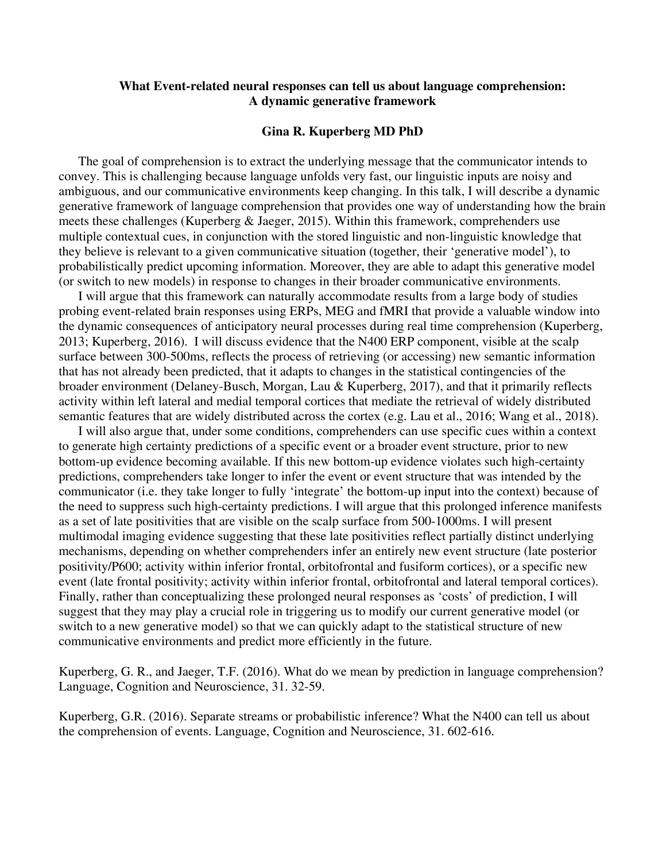## **What Event-related neural responses can tell us about language comprehension: A dynamic generative framework**

## **Gina R. Kuperberg MD PhD**

The goal of comprehension is to extract the underlying message that the communicator intends to convey. This is challenging because language unfolds very fast, our linguistic inputs are noisy and ambiguous, and our communicative environments keep changing. In this talk, I will describe a dynamic generative framework of language comprehension that provides one way of understanding how the brain meets these challenges (Kuperberg & Jaeger, 2015). Within this framework, comprehenders use multiple contextual cues, in conjunction with the stored linguistic and non-linguistic knowledge that they believe is relevant to a given communicative situation (together, their 'generative model'), to probabilistically predict upcoming information. Moreover, they are able to adapt this generative model (or switch to new models) in response to changes in their broader communicative environments.

I will argue that this framework can naturally accommodate results from a large body of studies probing event-related brain responses using ERPs, MEG and fMRI that provide a valuable window into the dynamic consequences of anticipatory neural processes during real time comprehension (Kuperberg, 2013; Kuperberg, 2016). I will discuss evidence that the N400 ERP component, visible at the scalp surface between 300-500ms, reflects the process of retrieving (or accessing) new semantic information that has not already been predicted, that it adapts to changes in the statistical contingencies of the broader environment (Delaney-Busch, Morgan, Lau & Kuperberg, 2017), and that it primarily reflects activity within left lateral and medial temporal cortices that mediate the retrieval of widely distributed semantic features that are widely distributed across the cortex (e.g. Lau et al., 2016; Wang et al., 2018).

I will also argue that, under some conditions, comprehenders can use specific cues within a context to generate high certainty predictions of a specific event or a broader event structure, prior to new bottom-up evidence becoming available. If this new bottom-up evidence violates such high-certainty predictions, comprehenders take longer to infer the event or event structure that was intended by the communicator (i.e. they take longer to fully 'integrate' the bottom-up input into the context) because of the need to suppress such high-certainty predictions. I will argue that this prolonged inference manifests as a set of late positivities that are visible on the scalp surface from 500-1000ms. I will present multimodal imaging evidence suggesting that these late positivities reflect partially distinct underlying mechanisms, depending on whether comprehenders infer an entirely new event structure (late posterior positivity/P600; activity within inferior frontal, orbitofrontal and fusiform cortices), or a specific new event (late frontal positivity; activity within inferior frontal, orbitofrontal and lateral temporal cortices). Finally, rather than conceptualizing these prolonged neural responses as 'costs' of prediction, I will suggest that they may play a crucial role in triggering us to modify our current generative model (or switch to a new generative model) so that we can quickly adapt to the statistical structure of new communicative environments and predict more efficiently in the future.

Kuperberg, G. R., and Jaeger, T.F. (2016). What do we mean by prediction in language comprehension? Language, Cognition and Neuroscience, 31. 32-59.

Kuperberg, G.R. (2016). Separate streams or probabilistic inference? What the N400 can tell us about the comprehension of events. Language, Cognition and Neuroscience, 31. 602-616.